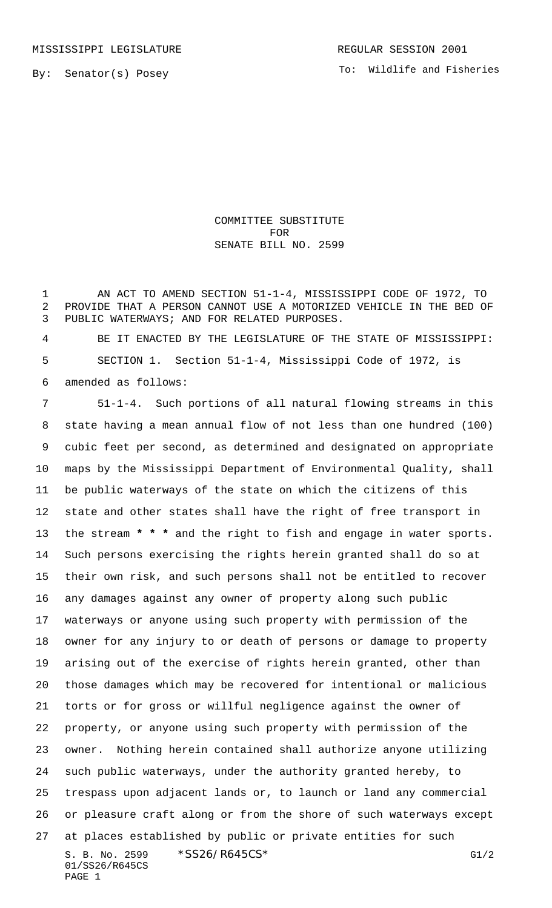By: Senator(s) Posey

## COMMITTEE SUBSTITUTE FOR SENATE BILL NO. 2599

1 AN ACT TO AMEND SECTION 51-1-4, MISSISSIPPI CODE OF 1972, TO PROVIDE THAT A PERSON CANNOT USE A MOTORIZED VEHICLE IN THE BED OF PUBLIC WATERWAYS; AND FOR RELATED PURPOSES.

 BE IT ENACTED BY THE LEGISLATURE OF THE STATE OF MISSISSIPPI: SECTION 1. Section 51-1-4, Mississippi Code of 1972, is amended as follows:

S. B. No. 2599 \*SS26/R645CS\* G1/2 01/SS26/R645CS PAGE 1 51-1-4. Such portions of all natural flowing streams in this state having a mean annual flow of not less than one hundred (100) cubic feet per second, as determined and designated on appropriate maps by the Mississippi Department of Environmental Quality, shall be public waterways of the state on which the citizens of this state and other states shall have the right of free transport in the stream **\* \* \*** and the right to fish and engage in water sports. Such persons exercising the rights herein granted shall do so at their own risk, and such persons shall not be entitled to recover any damages against any owner of property along such public waterways or anyone using such property with permission of the owner for any injury to or death of persons or damage to property arising out of the exercise of rights herein granted, other than those damages which may be recovered for intentional or malicious torts or for gross or willful negligence against the owner of property, or anyone using such property with permission of the owner. Nothing herein contained shall authorize anyone utilizing such public waterways, under the authority granted hereby, to trespass upon adjacent lands or, to launch or land any commercial or pleasure craft along or from the shore of such waterways except at places established by public or private entities for such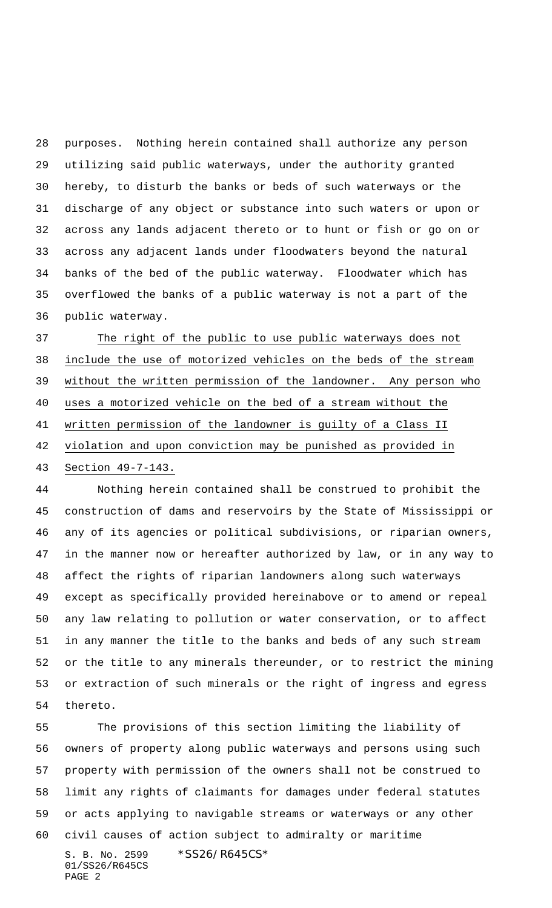purposes. Nothing herein contained shall authorize any person utilizing said public waterways, under the authority granted hereby, to disturb the banks or beds of such waterways or the discharge of any object or substance into such waters or upon or across any lands adjacent thereto or to hunt or fish or go on or across any adjacent lands under floodwaters beyond the natural banks of the bed of the public waterway. Floodwater which has overflowed the banks of a public waterway is not a part of the public waterway.

 The right of the public to use public waterways does not include the use of motorized vehicles on the beds of the stream without the written permission of the landowner. Any person who uses a motorized vehicle on the bed of a stream without the written permission of the landowner is guilty of a Class II violation and upon conviction may be punished as provided in Section 49-7-143.

 Nothing herein contained shall be construed to prohibit the construction of dams and reservoirs by the State of Mississippi or any of its agencies or political subdivisions, or riparian owners, in the manner now or hereafter authorized by law, or in any way to affect the rights of riparian landowners along such waterways except as specifically provided hereinabove or to amend or repeal any law relating to pollution or water conservation, or to affect in any manner the title to the banks and beds of any such stream or the title to any minerals thereunder, or to restrict the mining or extraction of such minerals or the right of ingress and egress thereto.

S. B. No. 2599 \* SS26/R645CS\* 01/SS26/R645CS The provisions of this section limiting the liability of owners of property along public waterways and persons using such property with permission of the owners shall not be construed to limit any rights of claimants for damages under federal statutes or acts applying to navigable streams or waterways or any other civil causes of action subject to admiralty or maritime

PAGE 2